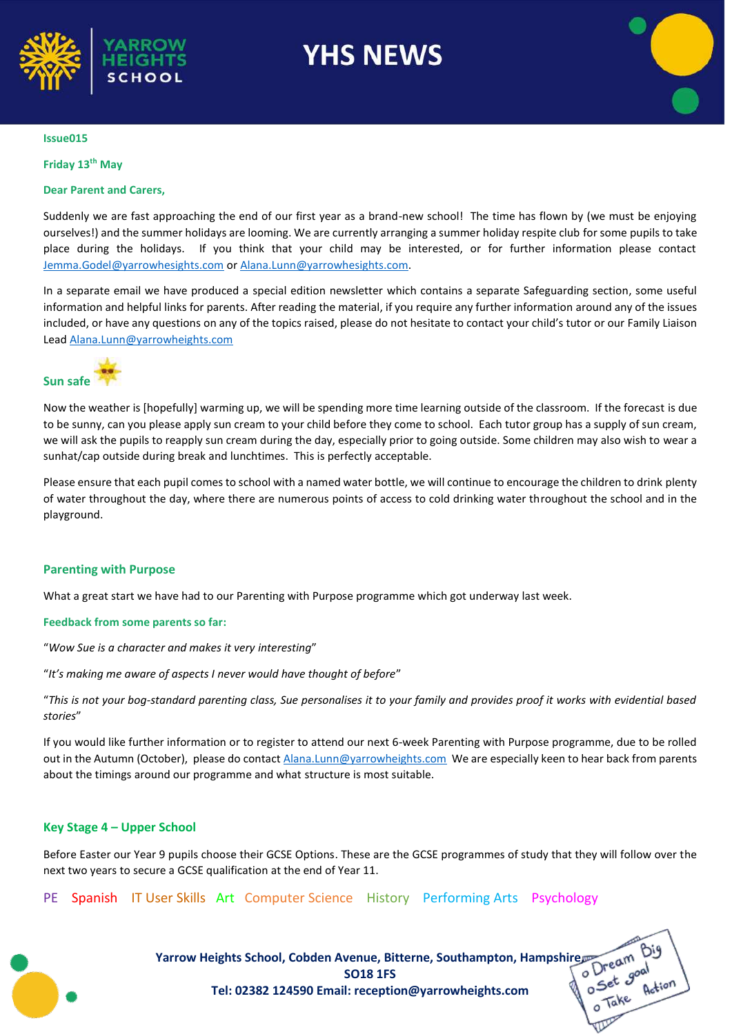

# **YHS NEWS**



#### **Issue015**

#### **Friday 13th May**

#### **Dear Parent and Carers,**

Suddenly we are fast approaching the end of our first year as a brand-new school! The time has flown by (we must be enjoying ourselves!) and the summer holidays are looming. We are currently arranging a summer holiday respite club for some pupils to take place during the holidays. If you think that your child may be interested, or for further information please contact [Jemma.Godel@yarrowhesights.com](mailto:Jemma.Godel@yarrowhesights.com) o[r Alana.Lunn@yarrowhesights.com.](mailto:Alana.Lunn@yarrowhesights.com)

In a separate email we have produced a special edition newsletter which contains a separate Safeguarding section, some useful information and helpful links for parents. After reading the material, if you require any further information around any of the issues included, or have any questions on any of the topics raised, please do not hesitate to contact your child's tutor or our Family Liaison Lead [Alana.Lunn@yarrowheights.com](mailto:Alana.Lunn@yarrowheights.com)

## **Sun safe**

Now the weather is [hopefully] warming up, we will be spending more time learning outside of the classroom. If the forecast is due to be sunny, can you please apply sun cream to your child before they come to school. Each tutor group has a supply of sun cream, we will ask the pupils to reapply sun cream during the day, especially prior to going outside. Some children may also wish to wear a sunhat/cap outside during break and lunchtimes. This is perfectly acceptable.

Please ensure that each pupil comes to school with a named water bottle, we will continue to encourage the children to drink plenty of water throughout the day, where there are numerous points of access to cold drinking water throughout the school and in the playground.

#### **Parenting with Purpose**

What a great start we have had to our Parenting with Purpose programme which got underway last week.

#### **Feedback from some parents so far:**

"*Wow Sue is a character and makes it very interesting*"

"*It's making me aware of aspects I never would have thought of before*"

"*This is not your bog-standard parenting class, Sue personalises it to your family and provides proof it works with evidential based stories*"

If you would like further information or to register to attend our next 6-week Parenting with Purpose programme, due to be rolled out in the Autumn (October), please do contact *Alana.Lunn@yarrowheights.com* We are especially keen to hear back from parents about the timings around our programme and what structure is most suitable.

#### **Key Stage 4 – Upper School**

Before Easter our Year 9 pupils choose their GCSE Options. These are the GCSE programmes of study that they will follow over the next two years to secure a GCSE qualification at the end of Year 11.

#### PE Spanish IT User Skills Art Computer Science History Performing Arts Psychology

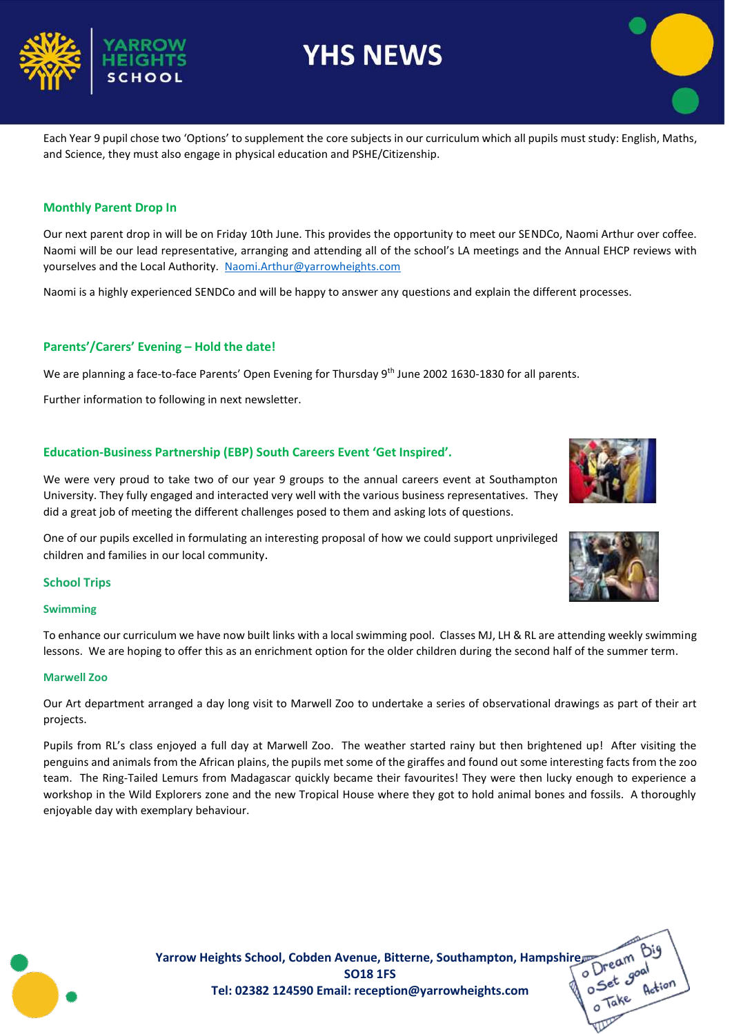### **Monthly Parent Drop In**

Our next parent drop in will be on Friday 10th June. This provides the opportunity to meet our SENDCo, Naomi Arthur over coffee. Naomi will be our lead representative, arranging and attending all of the school's LA meetings and the Annual EHCP reviews with yourselves and the Local Authority. [Naomi.Arthur@yarrowheights.com](mailto:Naomi.Arthur@yarrowheights.com)

Naomi is a highly experienced SENDCo and will be happy to answer any questions and explain the different processes.

### **Parents'/Carers' Evening – Hold the date!**

We are planning a face-to-face Parents' Open Evening for Thursday 9<sup>th</sup> June 2002 1630-1830 for all parents.

Further information to following in next newsletter.

### **Education-Business Partnership (EBP) South Careers Event 'Get Inspired'.**

We were very proud to take two of our year 9 groups to the annual careers event at Southampton University. They fully engaged and interacted very well with the various business representatives. They did a great job of meeting the different challenges posed to them and asking lots of questions.

One of our pupils excelled in formulating an interesting proposal of how we could support unprivileged children and families in our local community.

#### **School Trips**

#### **Swimming**

To enhance our curriculum we have now built links with a local swimming pool. Classes MJ, LH & RL are attending weekly swimming lessons. We are hoping to offer this as an enrichment option for the older children during the second half of the summer term.

#### **Marwell Zoo**

Our Art department arranged a day long visit to Marwell Zoo to undertake a series of observational drawings as part of their art projects.

Pupils from RL's class enjoyed a full day at Marwell Zoo. The weather started rainy but then brightened up! After visiting the penguins and animals from the African plains, the pupils met some of the giraffes and found out some interesting facts from the zoo team. The Ring-Tailed Lemurs from Madagascar quickly became their favourites! They were then lucky enough to experience a workshop in the Wild Explorers zone and the new Tropical House where they got to hold animal bones and fossils. A thoroughly enjoyable day with exemplary behaviour.

> **Yarrow Heights School, Cobden Avenue, Bitterne, Southampton, Hampshire**<br>SO18 1FS<br>Tel: 02382 124590 Email: reception@varrowheights com **SO18 1FS Tel: 02382 124590 Email: reception@yarrowheights.com**

Each Year 9 pupil chose two 'Options' to supplement the core subjects in our curriculum which all pupils must study: English, Maths, and Science, they must also engage in physical education and PSHE/Citizenship.

**YHS NEWS**